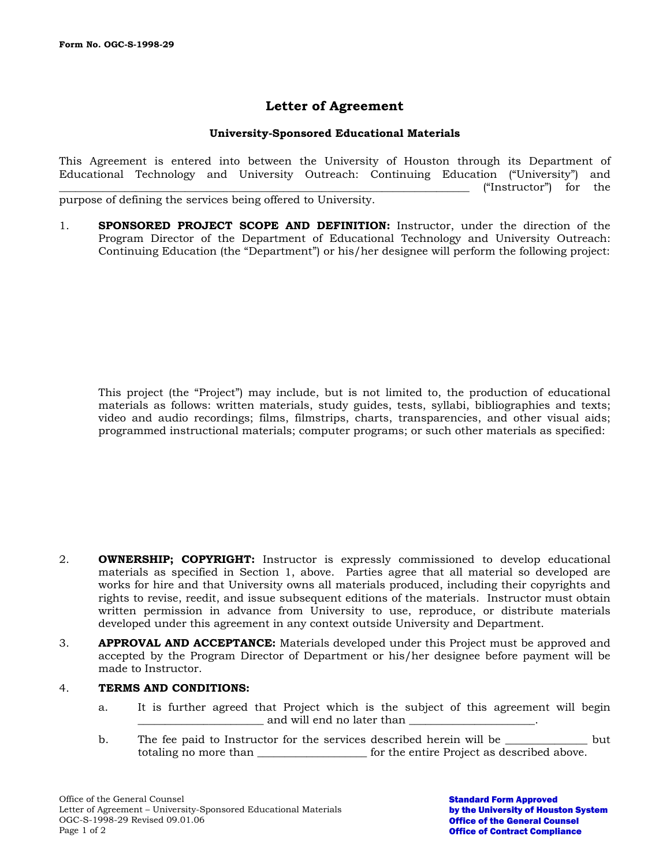# **Letter of Agreement**

## **University-Sponsored Educational Materials**

This Agreement is entered into between the University of Houston through its Department of Educational Technology and University Outreach: Continuing Education ("University") and \_\_\_\_\_\_\_\_\_\_\_\_\_\_\_\_\_\_\_\_\_\_\_\_\_\_\_\_\_\_\_\_\_\_\_\_\_\_\_\_\_\_\_\_\_\_\_\_\_\_\_\_\_\_\_\_\_\_\_\_\_\_\_\_\_\_\_\_\_\_\_\_\_\_\_ ("Instructor") for the purpose of defining the services being offered to University.

1. **SPONSORED PROJECT SCOPE AND DEFINITION:** Instructor, under the direction of the Program Director of the Department of Educational Technology and University Outreach: Continuing Education (the "Department") or his/her designee will perform the following project:

This project (the "Project") may include, but is not limited to, the production of educational materials as follows: written materials, study guides, tests, syllabi, bibliographies and texts; video and audio recordings; films, filmstrips, charts, transparencies, and other visual aids; programmed instructional materials; computer programs; or such other materials as specified:

- 2. **OWNERSHIP; COPYRIGHT:** Instructor is expressly commissioned to develop educational materials as specified in Section 1, above. Parties agree that all material so developed are works for hire and that University owns all materials produced, including their copyrights and rights to revise, reedit, and issue subsequent editions of the materials. Instructor must obtain written permission in advance from University to use, reproduce, or distribute materials developed under this agreement in any context outside University and Department.
- 3. **APPROVAL AND ACCEPTANCE:** Materials developed under this Project must be approved and accepted by the Program Director of Department or his/her designee before payment will be made to Instructor.

### 4. **TERMS AND CONDITIONS:**

- a. It is further agreed that Project which is the subject of this agreement will begin \_\_\_\_\_\_\_\_\_\_\_\_\_\_\_\_\_\_\_\_\_\_\_ and will end no later than \_\_\_\_\_\_\_\_\_\_\_\_\_\_\_\_\_\_\_\_\_\_\_.
- b. The fee paid to Instructor for the services described herein will be \_\_\_\_\_\_\_\_\_\_\_\_\_\_\_ but totaling no more than \_\_\_\_\_\_\_\_\_\_\_\_\_\_\_\_\_\_\_\_\_\_ for the entire Project as described above.